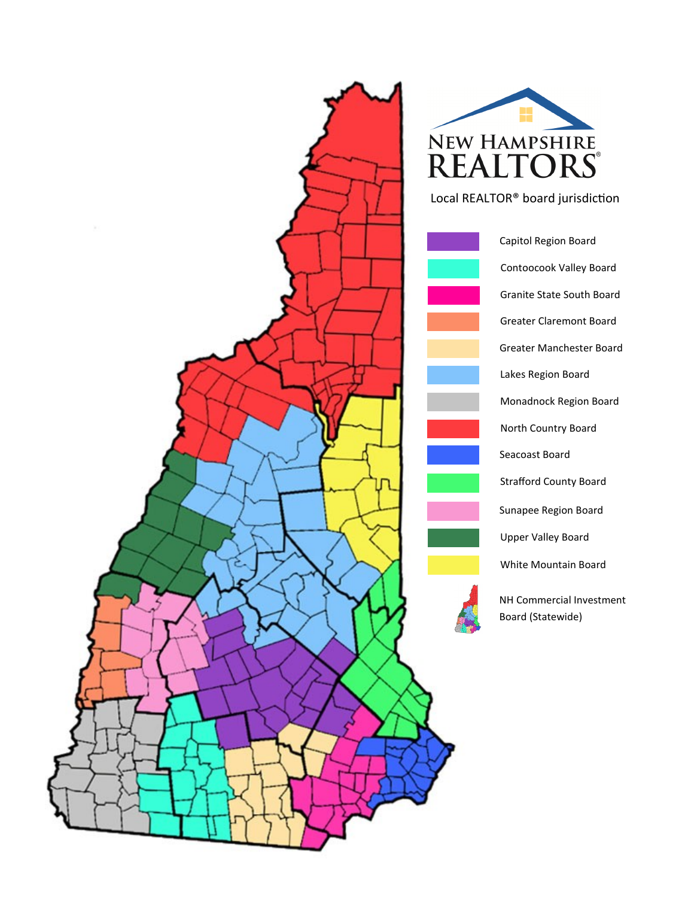



Local REALTOR® board jurisdiction

North Country Board White Mountain Board Lakes Region Board Upper Valley Board Greater Claremont Board Sunapee Region Board Capitol Region Board Strafford County Board Greater Manchester Board Seacoast Board Granite State South Board Contoocook Valley Board Monadnock Region Board NH Commercial Investment Board (Statewide)